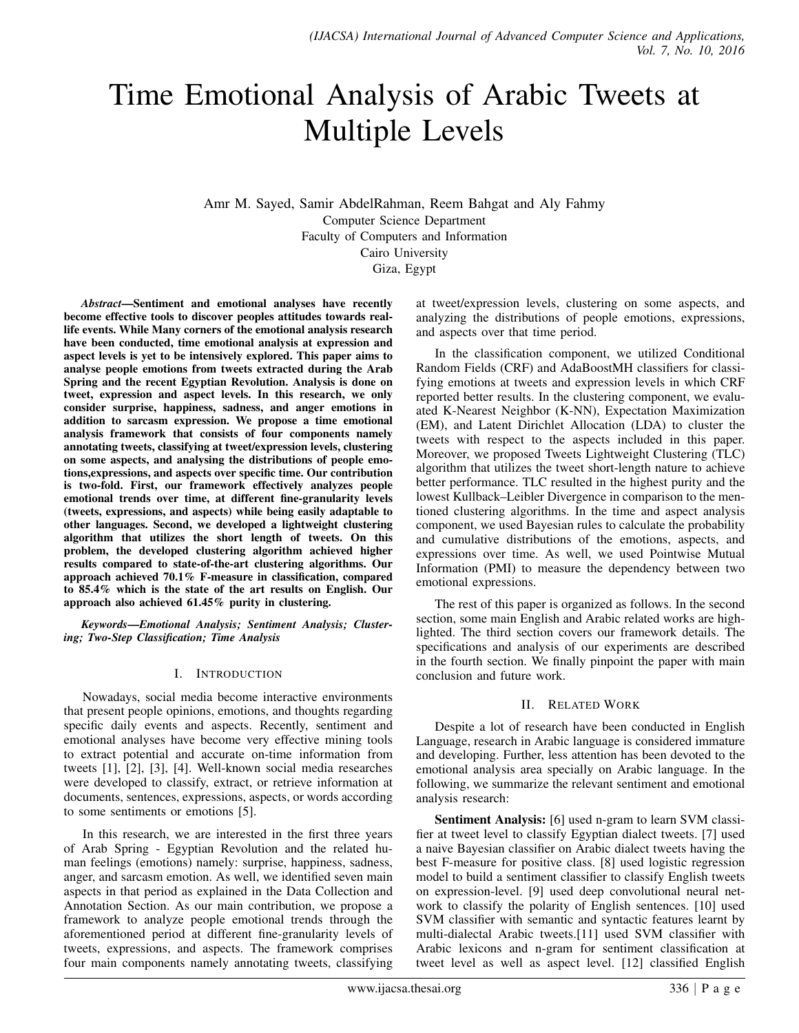# Time Emotional Analysis of Arabic Tweets at Multiple Levels

Amr M. Sayed, Samir AbdelRahman, Reem Bahgat and Aly Fahmy Computer Science Department Faculty of Computers and Information Cairo University Giza, Egypt

*Abstract*—Sentiment and emotional analyses have recently become effective tools to discover peoples attitudes towards reallife events. While Many corners of the emotional analysis research have been conducted, time emotional analysis at expression and aspect levels is yet to be intensively explored. This paper aims to analyse people emotions from tweets extracted during the Arab Spring and the recent Egyptian Revolution. Analysis is done on tweet, expression and aspect levels. In this research, we only consider surprise, happiness, sadness, and anger emotions in addition to sarcasm expression. We propose a time emotional analysis framework that consists of four components namely annotating tweets, classifying at tweet/expression levels, clustering on some aspects, and analysing the distributions of people emotions,expressions, and aspects over specific time. Our contribution is two-fold. First, our framework effectively analyzes people emotional trends over time, at different fine-granularity levels (tweets, expressions, and aspects) while being easily adaptable to other languages. Second, we developed a lightweight clustering algorithm that utilizes the short length of tweets. On this problem, the developed clustering algorithm achieved higher results compared to state-of-the-art clustering algorithms. Our approach achieved 70.1% F-measure in classification, compared to 85.4% which is the state of the art results on English. Our approach also achieved 61.45% purity in clustering.

*Keywords*—*Emotional Analysis; Sentiment Analysis; Clustering; Two-Step Classification; Time Analysis*

#### I. INTRODUCTION

Nowadays, social media become interactive environments that present people opinions, emotions, and thoughts regarding specific daily events and aspects. Recently, sentiment and emotional analyses have become very effective mining tools to extract potential and accurate on-time information from tweets [1], [2], [3], [4]. Well-known social media researches were developed to classify, extract, or retrieve information at documents, sentences, expressions, aspects, or words according to some sentiments or emotions [5].

In this research, we are interested in the first three years of Arab Spring - Egyptian Revolution and the related human feelings (emotions) namely: surprise, happiness, sadness, anger, and sarcasm emotion. As well, we identified seven main aspects in that period as explained in the Data Collection and Annotation Section. As our main contribution, we propose a framework to analyze people emotional trends through the aforementioned period at different fine-granularity levels of tweets, expressions, and aspects. The framework comprises four main components namely annotating tweets, classifying at tweet/expression levels, clustering on some aspects, and analyzing the distributions of people emotions, expressions, and aspects over that time period.

In the classification component, we utilized Conditional Random Fields (CRF) and AdaBoostMH classifiers for classifying emotions at tweets and expression levels in which CRF reported better results. In the clustering component, we evaluated K-Nearest Neighbor (K-NN), Expectation Maximization (EM), and Latent Dirichlet Allocation (LDA) to cluster the tweets with respect to the aspects included in this paper. Moreover, we proposed Tweets Lightweight Clustering (TLC) algorithm that utilizes the tweet short-length nature to achieve better performance. TLC resulted in the highest purity and the lowest Kullback–Leibler Divergence in comparison to the mentioned clustering algorithms. In the time and aspect analysis component, we used Bayesian rules to calculate the probability and cumulative distributions of the emotions, aspects, and expressions over time. As well, we used Pointwise Mutual Information (PMI) to measure the dependency between two emotional expressions.

The rest of this paper is organized as follows. In the second section, some main English and Arabic related works are highlighted. The third section covers our framework details. The specifications and analysis of our experiments are described in the fourth section. We finally pinpoint the paper with main conclusion and future work.

## II. RELATED WORK

Despite a lot of research have been conducted in English Language, research in Arabic language is considered immature and developing. Further, less attention has been devoted to the emotional analysis area specially on Arabic language. In the following, we summarize the relevant sentiment and emotional analysis research:

Sentiment Analysis: [6] used n-gram to learn SVM classifier at tweet level to classify Egyptian dialect tweets. [7] used a naive Bayesian classifier on Arabic dialect tweets having the best F-measure for positive class. [8] used logistic regression model to build a sentiment classifier to classify English tweets on expression-level. [9] used deep convolutional neural network to classify the polarity of English sentences. [10] used SVM classifier with semantic and syntactic features learnt by multi-dialectal Arabic tweets.[11] used SVM classifier with Arabic lexicons and n-gram for sentiment classification at tweet level as well as aspect level. [12] classified English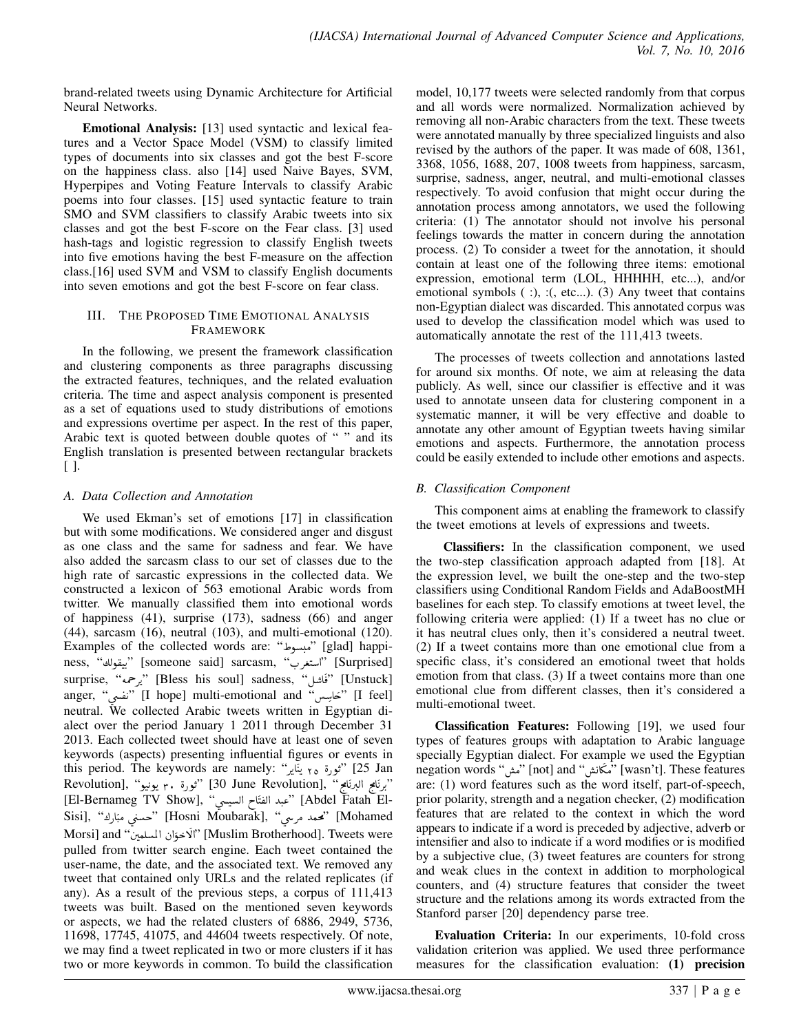brand-related tweets using Dynamic Architecture for Artificial Neural Networks.

Emotional Analysis: [13] used syntactic and lexical features and a Vector Space Model (VSM) to classify limited types of documents into six classes and got the best F-score on the happiness class. also [14] used Naive Bayes, SVM, Hyperpipes and Voting Feature Intervals to classify Arabic poems into four classes. [15] used syntactic feature to train SMO and SVM classifiers to classify Arabic tweets into six classes and got the best F-score on the Fear class. [3] used hash-tags and logistic regression to classify English tweets into five emotions having the best F-measure on the affection class.[16] used SVM and VSM to classify English documents into seven emotions and got the best F-score on fear class.

## III. THE PROPOSED TIME EMOTIONAL ANALYSIS FRAMEWORK

In the following, we present the framework classification and clustering components as three paragraphs discussing the extracted features, techniques, and the related evaluation criteria. The time and aspect analysis component is presented as a set of equations used to study distributions of emotions and expressions overtime per aspect. In the rest of this paper, Arabic text is quoted between double quotes of "" and its English translation is presented between rectangular brackets [ ].

# *A. Data Collection and Annotation*

We used Ekman's set of emotions [17] in classification but with some modifications. We considered anger and disgust as one class and the same for sadness and fear. We have also added the sarcasm class to our set of classes due to the high rate of sarcastic expressions in the collected data. We constructed a lexicon of 563 emotional Arabic words from twitter. We manually classified them into emotional words of happiness (41), surprise (173), sadness (66) and anger (44), sarcasm (16), neutral (103), and multi-emotional (120). Examples of the collected words are: " ñ. Ó" [glad] happi--tgrau] nappi) مبسوط examples of the conected words are. مبسوط<br>[Surprised] ''استغرب'' (someone said] sarcasm, ''ستغرب'' í K .<br>. .<br>.. risome only satelsm, "Earpmoon" [Sappmoon"] يعلون "<br>[Unstuck] "ذكائل" [Unstuck] [Unstuck] [  $\overline{\phantom{a}}$ ֦֧ anger, "نفسى" [I hope] multi-emotional and "نفسى" [I feel]  $\overline{a}$  neutral. We collected Arabic tweets written in Egyptian di-.<br>. .<br>. A  $\overline{a}$ alect over the period January 1 2011 through December 31 2013. Each collected tweet should have at least one of seven keywords (aspects) presenting influential figures or events in this period. The keywords are namely: "ثورة ٢٥ يَنَاير": "this period. The keywords are namely A Ë ֦֦֦֪֪֦֪֦֧ׅ֛֛֪֦֪֪֦֧֧֚֚֚֡֝֝֬֝֬֝֬֝֓֝֬֝֬֝֬֝֬֝֬֝֬֝֬֝֟֟֟֓֝֬֝֓֟֓֝֬֝ ֦֧֦֧֦֧֦֧֦֧֦֧֦֧֦֧֦֧֦֦֦֦֦֦֦֦֦֦֦֦ J ֦֧֦֚֬ ans period: The hoy words dre hankery. "يحيو" (Revolution), "ثورة ٣. يونيو" (Revolution .<br>. .<br>.. י<br>י .  $\overline{\phantom{a}}$  $\overline{\phantom{a}}$ . י<br>י .<br>. برنامج البرنامج " ,[30 June Revolution], "توره ٣. يونيو" ,[Revolution]<br>-[El-Bernameg TV Show], "عبد الفتّاح السيسي" ([Abdel Fatah El ļ  $\overline{a}$  $\overline{\phantom{a}}$  $\frac{1}{2}$ !<br>. سبند الطلاح السيسي [Abdel Talah Li-<br>Sisi], "محسني مبّارك" [Hosni Moubarak], "محسني مبّارك" [Mohamed J . l  $\ddot{\phantom{0}}$ ļ rrosm Modellian,, مصد مرتعي "frosm Modellian,"<br>Morsi] and "ألاخوّان المسلمين" [Muslim Brotherhood]. Tweets were j  $\ddot{\cdot}$ ĺ. l<br>. pulled from twitter search engine. Each tweet contained the user-name, the date, and the associated text. We removed any tweet that contained only URLs and the related replicates (if any). As a result of the previous steps, a corpus of 111,413 tweets was built. Based on the mentioned seven keywords or aspects, we had the related clusters of 6886, 2949, 5736, 11698, 17745, 41075, and 44604 tweets respectively. Of note, we may find a tweet replicated in two or more clusters if it has two or more keywords in common. To build the classification

model, 10,177 tweets were selected randomly from that corpus and all words were normalized. Normalization achieved by removing all non-Arabic characters from the text. These tweets were annotated manually by three specialized linguists and also revised by the authors of the paper. It was made of 608, 1361, 3368, 1056, 1688, 207, 1008 tweets from happiness, sarcasm, surprise, sadness, anger, neutral, and multi-emotional classes respectively. To avoid confusion that might occur during the annotation process among annotators, we used the following criteria: (1) The annotator should not involve his personal feelings towards the matter in concern during the annotation process. (2) To consider a tweet for the annotation, it should contain at least one of the following three items: emotional expression, emotional term (LOL, HHHHH, etc...), and/or emotional symbols ( :), :(, etc...). (3) Any tweet that contains non-Egyptian dialect was discarded. This annotated corpus was used to develop the classification model which was used to automatically annotate the rest of the 111,413 tweets.

The processes of tweets collection and annotations lasted for around six months. Of note, we aim at releasing the data publicly. As well, since our classifier is effective and it was used to annotate unseen data for clustering component in a systematic manner, it will be very effective and doable to annotate any other amount of Egyptian tweets having similar emotions and aspects. Furthermore, the annotation process could be easily extended to include other emotions and aspects.

# *B. Classification Component*

This component aims at enabling the framework to classify the tweet emotions at levels of expressions and tweets.

Classifiers: In the classification component, we used the two-step classification approach adapted from [18]. At the expression level, we built the one-step and the two-step classifiers using Conditional Random Fields and AdaBoostMH baselines for each step. To classify emotions at tweet level, the following criteria were applied: (1) If a tweet has no clue or it has neutral clues only, then it's considered a neutral tweet. (2) If a tweet contains more than one emotional clue from a specific class, it's considered an emotional tweet that holds emotion from that class. (3) If a tweet contains more than one emotional clue from different classes, then it's considered a multi-emotional tweet.

Classification Features: Following [19], we used four types of features groups with adaptation to Arabic language specially Egyptian dialect. For example we used the Egyptian negation words "مَكَانَتْنُ " [not] and [[not] [not] مَتَعَانَتْنُ " [not] and "مَكَانَتْنُ " .<br>.<br>. j are: (1) word features such as the word itself, part-of-speech, prior polarity, strength and a negation checker, (2) modification features that are related to the context in which the word appears to indicate if a word is preceded by adjective, adverb or intensifier and also to indicate if a word modifies or is modified by a subjective clue, (3) tweet features are counters for strong and weak clues in the context in addition to morphological counters, and (4) structure features that consider the tweet structure and the relations among its words extracted from the Stanford parser [20] dependency parse tree.

Evaluation Criteria: In our experiments, 10-fold cross validation criterion was applied. We used three performance measures for the classification evaluation: (1) precision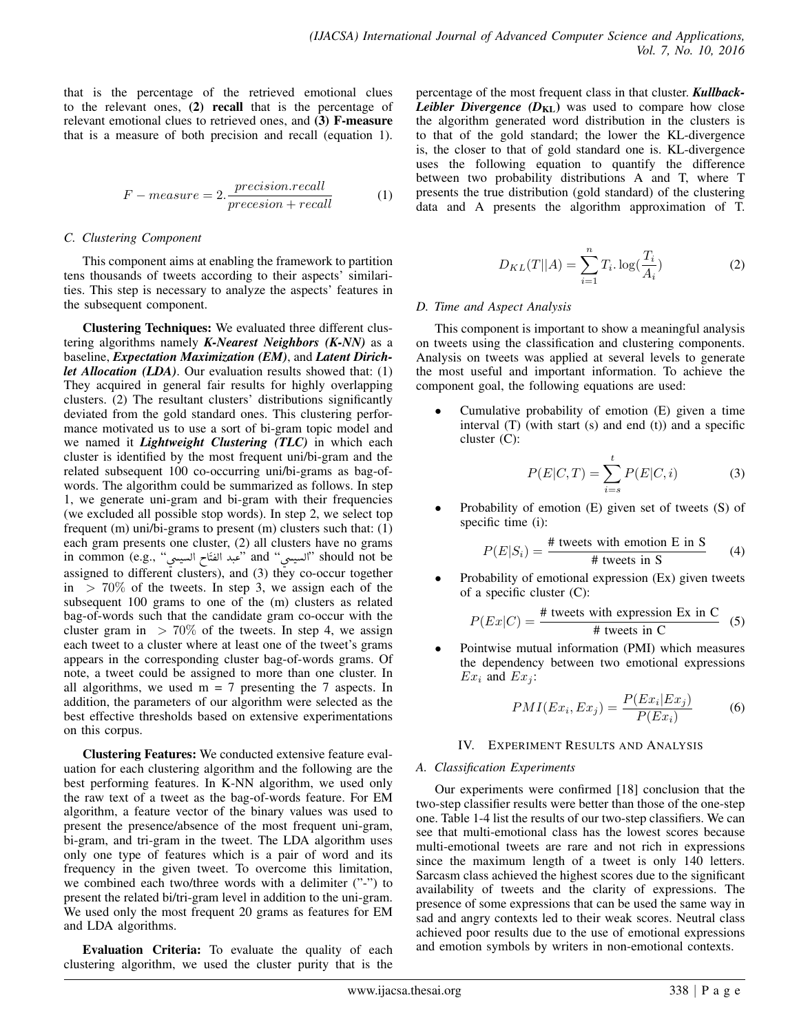that is the percentage of the retrieved emotional clues to the relevant ones, (2) recall that is the percentage of relevant emotional clues to retrieved ones, and (3) F-measure that is a measure of both precision and recall (equation 1).

$$
F-measure = 2.\frac{precision.read}{precision + recall}
$$
 (1)

#### *C. Clustering Component*

This component aims at enabling the framework to partition tens thousands of tweets according to their aspects' similarities. This step is necessary to analyze the aspects' features in the subsequent component.

Clustering Techniques: We evaluated three different clustering algorithms namely *K-Nearest Neighbors (K-NN)* as a baseline, *Expectation Maximization (EM)*, and *Latent Dirichlet Allocation (LDA)*. Our evaluation results showed that: (1) They acquired in general fair results for highly overlapping clusters. (2) The resultant clusters' distributions significantly deviated from the gold standard ones. This clustering performance motivated us to use a sort of bi-gram topic model and we named it *Lightweight Clustering (TLC)* in which each cluster is identified by the most frequent uni/bi-gram and the related subsequent 100 co-occurring uni/bi-grams as bag-ofwords. The algorithm could be summarized as follows. In step 1, we generate uni-gram and bi-gram with their frequencies (we excluded all possible stop words). In step 2, we select top frequent (m) uni/bi-grams to present (m) clusters such that: (1) each gram presents one cluster, (2) all clusters have no grams each gram presents one cluster, (2) all clusters have no grams<br>in common (e.g., "نحبد الفتّاح السيسي" and "أسعين " should not be  $\overline{a}$  assigned to different clusters), and (3) they co-occur together  $\overline{a}$  $\ddot{\phantom{a}}$  $\frac{1}{2}$ ן<br>.  $\overline{a}$ ֦֧֛֜ in  $> 70\%$  of the tweets. In step 3, we assign each of the subsequent 100 grams to one of the (m) clusters as related bag-of-words such that the candidate gram co-occur with the cluster gram in  $> 70\%$  of the tweets. In step 4, we assign each tweet to a cluster where at least one of the tweet's grams appears in the corresponding cluster bag-of-words grams. Of note, a tweet could be assigned to more than one cluster. In all algorithms, we used  $m = 7$  presenting the 7 aspects. In addition, the parameters of our algorithm were selected as the best effective thresholds based on extensive experimentations on this corpus.

Clustering Features: We conducted extensive feature evaluation for each clustering algorithm and the following are the best performing features. In K-NN algorithm, we used only the raw text of a tweet as the bag-of-words feature. For EM algorithm, a feature vector of the binary values was used to present the presence/absence of the most frequent uni-gram, bi-gram, and tri-gram in the tweet. The LDA algorithm uses only one type of features which is a pair of word and its frequency in the given tweet. To overcome this limitation, we combined each two/three words with a delimiter ("-") to present the related bi/tri-gram level in addition to the uni-gram. We used only the most frequent 20 grams as features for EM and LDA algorithms.

Evaluation Criteria: To evaluate the quality of each clustering algorithm, we used the cluster purity that is the

percentage of the most frequent class in that cluster. *Kullback-Leibler Divergence*  $(D_{\text{KL}})$  was used to compare how close the algorithm generated word distribution in the clusters is to that of the gold standard; the lower the KL-divergence is, the closer to that of gold standard one is. KL-divergence uses the following equation to quantify the difference between two probability distributions A and T, where T presents the true distribution (gold standard) of the clustering data and A presents the algorithm approximation of T.

$$
D_{KL}(T||A) = \sum_{i=1}^{n} T_i \cdot \log(\frac{T_i}{A_i})
$$
 (2)

#### *D. Time and Aspect Analysis*

This component is important to show a meaningful analysis on tweets using the classification and clustering components. Analysis on tweets was applied at several levels to generate the most useful and important information. To achieve the component goal, the following equations are used:

• Cumulative probability of emotion (E) given a time interval  $(T)$  (with start  $(s)$  and end  $(t)$ ) and a specific cluster (C):

$$
P(E|C,T) = \sum_{i=s}^{t} P(E|C,i)
$$
 (3)

Probability of emotion  $(E)$  given set of tweets  $(S)$  of specific time (i):

$$
P(E|S_i) = \frac{\text{\# tweets with emotion E in S}}{\text{\# tweets in S}} \tag{4}
$$

Probability of emotional expression (Ex) given tweets of a specific cluster (C):

$$
P(EX|C) = \frac{\text{# tweets with expression Ex in C}}{\text{# tweets in C}} \quad (5)
$$

• Pointwise mutual information (PMI) which measures the dependency between two emotional expressions  $Ex_i$  and  $Ex_j$ :

$$
PMI(Ex_i, Ex_j) = \frac{P(EX_i|Ex_j)}{P(EX_i)}
$$
 (6)

#### IV. EXPERIMENT RESULTS AND ANALYSIS

#### *A. Classification Experiments*

Our experiments were confirmed [18] conclusion that the two-step classifier results were better than those of the one-step one. Table 1-4 list the results of our two-step classifiers. We can see that multi-emotional class has the lowest scores because multi-emotional tweets are rare and not rich in expressions since the maximum length of a tweet is only 140 letters. Sarcasm class achieved the highest scores due to the significant availability of tweets and the clarity of expressions. The presence of some expressions that can be used the same way in sad and angry contexts led to their weak scores. Neutral class achieved poor results due to the use of emotional expressions and emotion symbols by writers in non-emotional contexts.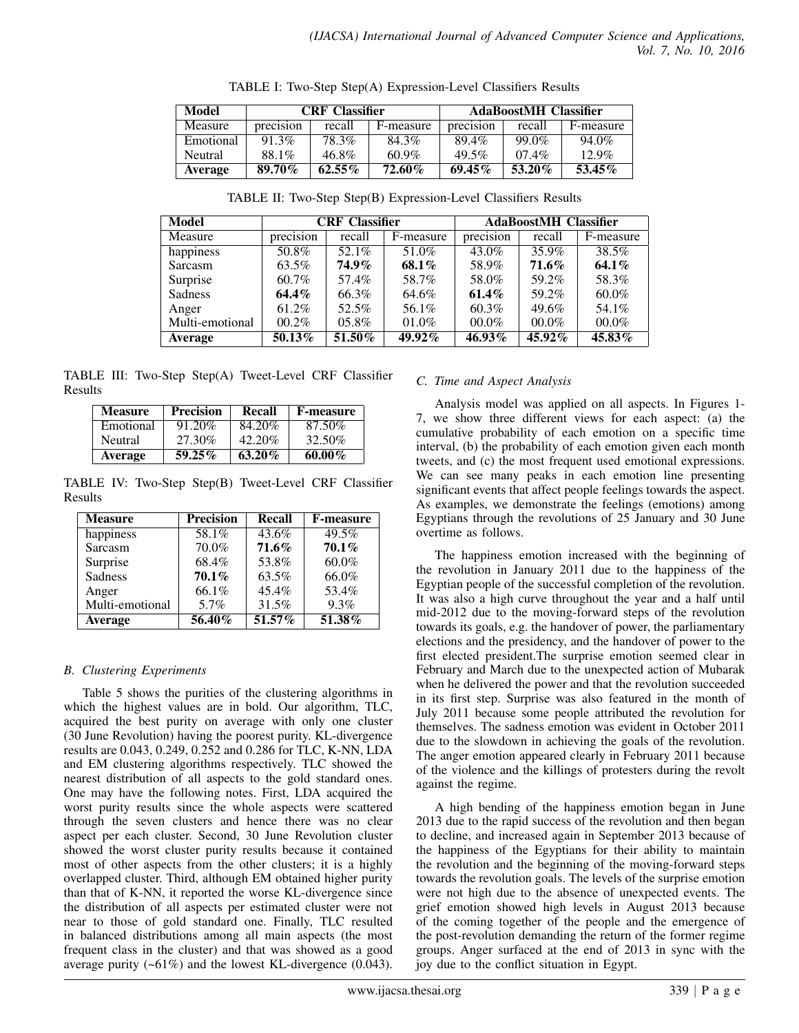| Model          | <b>CRF</b> Classifier |           |           | <b>AdaBoostMH Classifier</b> |          |           |
|----------------|-----------------------|-----------|-----------|------------------------------|----------|-----------|
| <b>Measure</b> | precision             | recall    | F-measure | precision                    | recall   | F-measure |
| Emotional      | $91.3\%$              | 78.3%     | 84.3%     | 89.4%                        | $99.0\%$ | $94.0\%$  |
| Neutral        | 88.1%                 | 46.8%     | $60.9\%$  | $49.5\%$                     | $07.4\%$ | $12.9\%$  |
| <b>Average</b> | 89.70%                | $62.55\%$ | 72.60%    | $69.45\%$                    | 53.20%   | $53.45\%$ |

TABLE I: Two-Step Step(A) Expression-Level Classifiers Results

| Model           | <b>CRF</b> Classifier |              |           | <b>AdaBoostMH</b> Classifier |           |           |  |
|-----------------|-----------------------|--------------|-----------|------------------------------|-----------|-----------|--|
| Measure         | precision             | recall       | F-measure | precision                    | recall    | F-measure |  |
| happiness       | 50.8%                 | 52.1%        | 51.0%     | 43.0%                        | 35.9%     | 38.5%     |  |
| Sarcasm         | 63.5%                 | <b>74.9%</b> | 68.1%     | 58.9%                        | $71.6\%$  | 64.1%     |  |
| Surprise        | $60.7\%$              | 57.4%        | 58.7%     | 58.0%                        | 59.2%     | 58.3%     |  |
| Sadness         | $64.4\%$              | 66.3%        | 64.6%     | $61.4\%$                     | 59.2%     | $60.0\%$  |  |
| Anger           | 61.2%                 | 52.5%        | 56.1%     | 60.3%                        | 49.6%     | 54.1%     |  |
| Multi-emotional | 00.2%                 | $05.8\%$     | 01.0%     | 00.0%                        | $00.0\%$  | $00.0\%$  |  |
| Average         | $50.13\%$             | 51.50%       | 49.92%    | 46.93%                       | $45.92\%$ | 45.83%    |  |

TABLE II: Two-Step Step(B) Expression-Level Classifiers Results

TABLE III: Two-Step Step(A) Tweet-Level CRF Classifier Results

| <b>Measure</b> | <b>Precision</b> | Recall    | <b>F-measure</b> |
|----------------|------------------|-----------|------------------|
| Emotional      | 91.20%           | 84.20%    | 87.50%           |
| <b>Neutral</b> | 27.30%           | 42.20%    | 32.50%           |
| <b>Average</b> | $59.25\%$        | $63.20\%$ | $60.00\%$        |

TABLE IV: Two-Step Step(B) Tweet-Level CRF Classifier Results

| <b>Measure</b>  | <b>Precision</b> | Recall   | <b>F-measure</b> |
|-----------------|------------------|----------|------------------|
| happiness       | 58.1%            | $43.6\%$ | 49.5%            |
| Sarcasm         | 70.0%            | $71.6\%$ | $70.1\%$         |
| Surprise        | 68.4%            | 53.8%    | $60.0\%$         |
| Sadness         | $70.1\%$         | 63.5%    | 66.0%            |
| Anger           | 66.1%            | $45.4\%$ | 53.4%            |
| Multi-emotional | 5.7%             | 31.5%    | 9.3%             |
| <b>Average</b>  | $56.40\%$        | 51.57%   | 51.38%           |

## *B. Clustering Experiments*

Table 5 shows the purities of the clustering algorithms in which the highest values are in bold. Our algorithm, TLC, acquired the best purity on average with only one cluster (30 June Revolution) having the poorest purity. KL-divergence results are 0.043, 0.249, 0.252 and 0.286 for TLC, K-NN, LDA and EM clustering algorithms respectively. TLC showed the nearest distribution of all aspects to the gold standard ones. One may have the following notes. First, LDA acquired the worst purity results since the whole aspects were scattered through the seven clusters and hence there was no clear aspect per each cluster. Second, 30 June Revolution cluster showed the worst cluster purity results because it contained most of other aspects from the other clusters; it is a highly overlapped cluster. Third, although EM obtained higher purity than that of K-NN, it reported the worse KL-divergence since the distribution of all aspects per estimated cluster were not near to those of gold standard one. Finally, TLC resulted in balanced distributions among all main aspects (the most frequent class in the cluster) and that was showed as a good average purity  $(-61\%)$  and the lowest KL-divergence  $(0.043)$ .

# *C. Time and Aspect Analysis*

Analysis model was applied on all aspects. In Figures 1- 7, we show three different views for each aspect: (a) the cumulative probability of each emotion on a specific time interval, (b) the probability of each emotion given each month tweets, and (c) the most frequent used emotional expressions. We can see many peaks in each emotion line presenting significant events that affect people feelings towards the aspect. As examples, we demonstrate the feelings (emotions) among Egyptians through the revolutions of 25 January and 30 June overtime as follows.

The happiness emotion increased with the beginning of the revolution in January 2011 due to the happiness of the Egyptian people of the successful completion of the revolution. It was also a high curve throughout the year and a half until mid-2012 due to the moving-forward steps of the revolution towards its goals, e.g. the handover of power, the parliamentary elections and the presidency, and the handover of power to the first elected president.The surprise emotion seemed clear in February and March due to the unexpected action of Mubarak when he delivered the power and that the revolution succeeded in its first step. Surprise was also featured in the month of July 2011 because some people attributed the revolution for themselves. The sadness emotion was evident in October 2011 due to the slowdown in achieving the goals of the revolution. The anger emotion appeared clearly in February 2011 because of the violence and the killings of protesters during the revolt against the regime.

A high bending of the happiness emotion began in June 2013 due to the rapid success of the revolution and then began to decline, and increased again in September 2013 because of the happiness of the Egyptians for their ability to maintain the revolution and the beginning of the moving-forward steps towards the revolution goals. The levels of the surprise emotion were not high due to the absence of unexpected events. The grief emotion showed high levels in August 2013 because of the coming together of the people and the emergence of the post-revolution demanding the return of the former regime groups. Anger surfaced at the end of 2013 in sync with the joy due to the conflict situation in Egypt.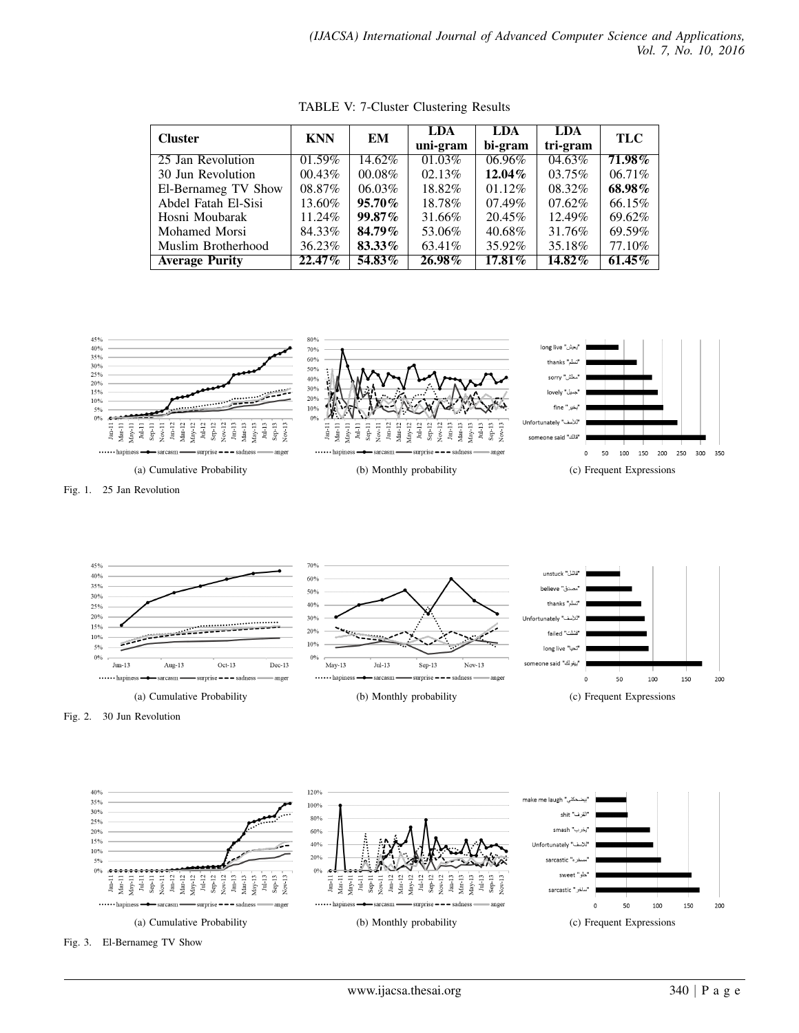| <b>Cluster</b>        | <b>KNN</b> | EМ        | <b>LDA</b> | LDA       | <b>LDA</b> | TLC       |
|-----------------------|------------|-----------|------------|-----------|------------|-----------|
|                       |            |           | uni-gram   | bi-gram   | tri-gram   |           |
| 25 Jan Revolution     | $01.59\%$  | 14.62%    | 01.03%     | 06.96%    | 04.63%     | $71.98\%$ |
| 30 Jun Revolution     | 00.43%     | $00.08\%$ | 02.13%     | $12.04\%$ | $03.75\%$  | $06.71\%$ |
| El-Bernameg TV Show   | 08.87%     | $06.03\%$ | 18.82%     | 01.12%    | 08.32%     | 68.98%    |
| Abdel Fatah El-Sisi   | 13.60%     | $95.70\%$ | 18.78%     | $07.49\%$ | $07.62\%$  | 66.15%    |
| Hosni Moubarak        | 11.24%     | $99.87\%$ | 31.66%     | 20.45%    | 12.49%     | 69.62%    |
| Mohamed Morsi         | 84.33%     | 84.79%    | 53.06%     | 40.68%    | 31.76%     | 69.59%    |
| Muslim Brotherhood    | 36.23%     | 83.33%    | 63.41\%    | 35.92%    | 35.18%     | 77.10%    |
| <b>Average Purity</b> | 22.47%     | 54.83%    | 26.98%     | 17.81%    | $14.82\%$  | $61.45\%$ |

TABLE V: 7-Cluster Clustering Results



Fig. 1. 25 Jan Revolution



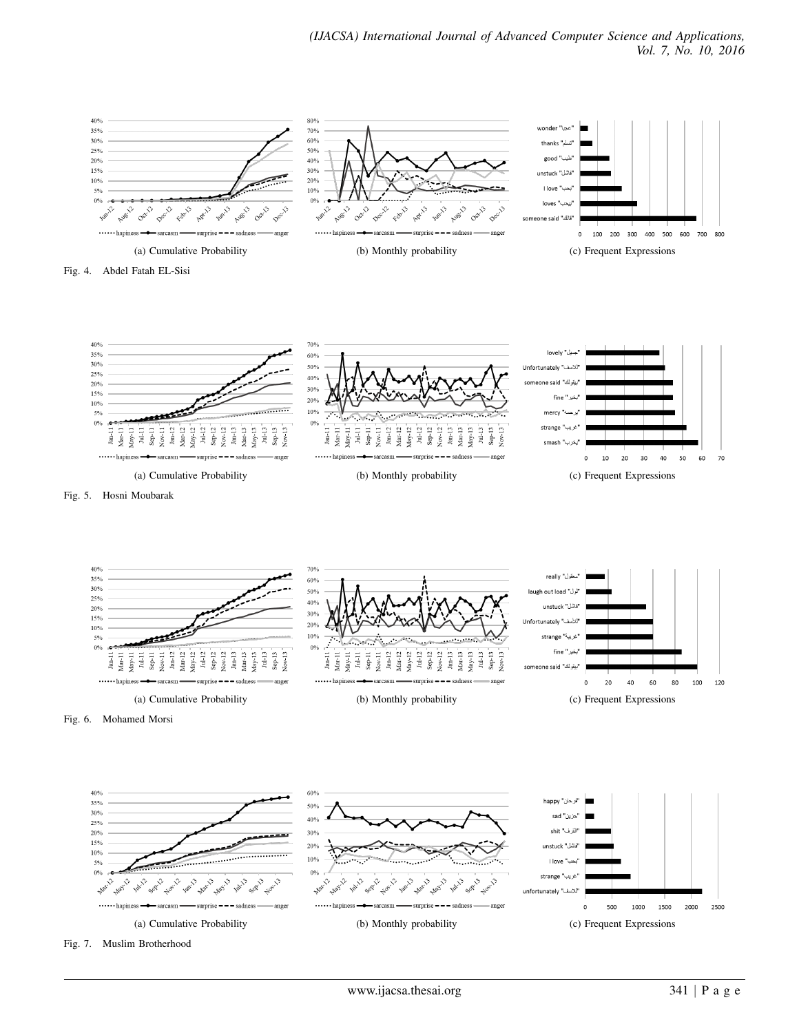